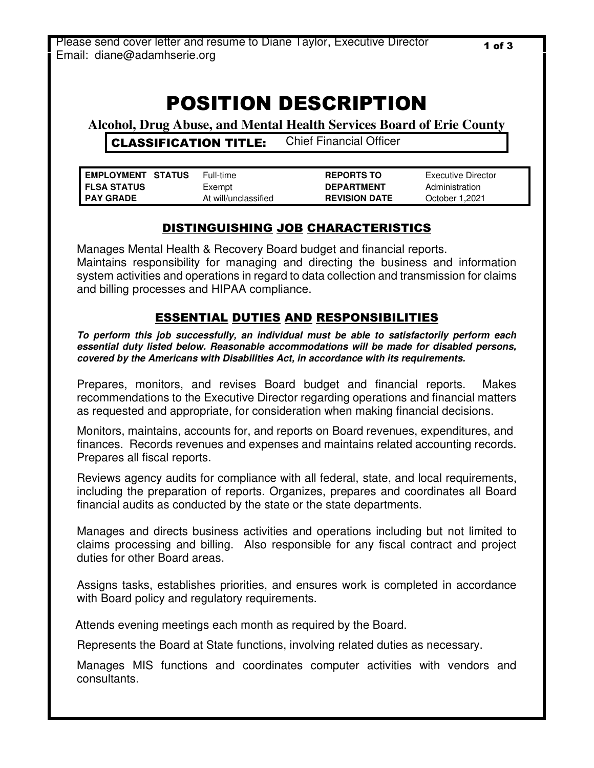# POSITION DESCRIPTION

**Alcohol, Drug Abuse, and Mental Health Services Board of Erie County**

CLASSIFICATION TITLE: Chief Financial Officer

| <b>EMPLOYMENT STATUS</b> | Full-time            | <b>REPORTS TO</b>    | Executive Director |
|--------------------------|----------------------|----------------------|--------------------|
| I FLSA STATUS            | Exempt               | <b>DEPARTMENT</b>    | Administration     |
| I PAY GRADE              | At will/unclassified | <b>REVISION DATE</b> | October 1.2021     |

# DISTINGUISHING JOB CHARACTERISTICS

Manages Mental Health & Recovery Board budget and financial reports. Maintains responsibility for managing and directing the business and information system activities and operations in regard to data collection and transmission for claims and billing processes and HIPAA compliance.

#### ESSENTIAL DUTIES AND RESPONSIBILITIES

**To perform this job successfully, an individual must be able to satisfactorily perform each essential duty listed below. Reasonable accommodations will be made for disabled persons, covered by the Americans with Disabilities Act, in accordance with its requirements.** 

Prepares, monitors, and revises Board budget and financial reports. Makes recommendations to the Executive Director regarding operations and financial matters as requested and appropriate, for consideration when making financial decisions.

Monitors, maintains, accounts for, and reports on Board revenues, expenditures, and finances. Records revenues and expenses and maintains related accounting records. Prepares all fiscal reports.

Reviews agency audits for compliance with all federal, state, and local requirements, including the preparation of reports. Organizes, prepares and coordinates all Board financial audits as conducted by the state or the state departments.

Manages and directs business activities and operations including but not limited to claims processing and billing. Also responsible for any fiscal contract and project duties for other Board areas.

Assigns tasks, establishes priorities, and ensures work is completed in accordance with Board policy and regulatory requirements.

Attends evening meetings each month as required by the Board.

Represents the Board at State functions, involving related duties as necessary.

Manages MIS functions and coordinates computer activities with vendors and consultants.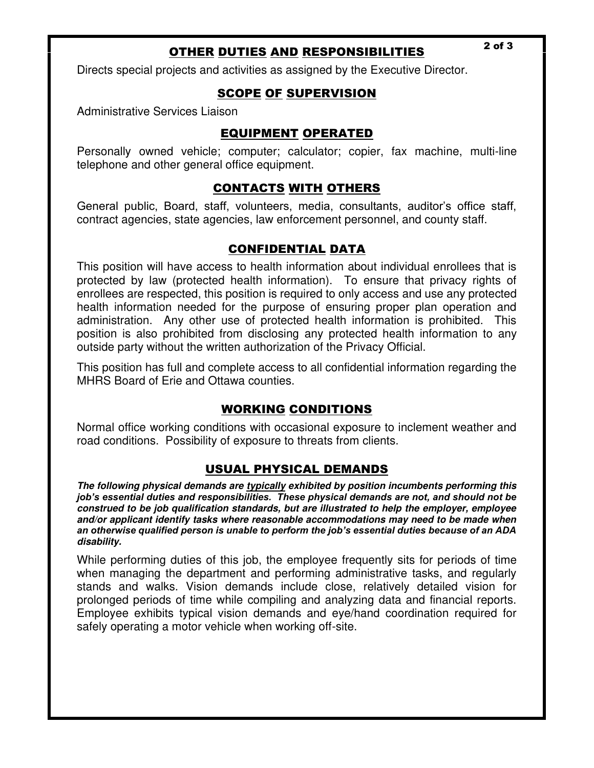# OTHER DUTIES AND RESPONSIBILITIES 2 of 3

Directs special projects and activities as assigned by the Executive Director.

#### SCOPE OF SUPERVISION

Administrative Services Liaison

## EQUIPMENT OPERATED

Personally owned vehicle; computer; calculator; copier, fax machine, multi-line telephone and other general office equipment.

## CONTACTS WITH OTHERS

General public, Board, staff, volunteers, media, consultants, auditor's office staff, contract agencies, state agencies, law enforcement personnel, and county staff.

#### CONFIDENTIAL DATA

This position will have access to health information about individual enrollees that is protected by law (protected health information). To ensure that privacy rights of enrollees are respected, this position is required to only access and use any protected health information needed for the purpose of ensuring proper plan operation and administration. Any other use of protected health information is prohibited. This position is also prohibited from disclosing any protected health information to any outside party without the written authorization of the Privacy Official.

This position has full and complete access to all confidential information regarding the MHRS Board of Erie and Ottawa counties.

#### WORKING CONDITIONS

Normal office working conditions with occasional exposure to inclement weather and road conditions. Possibility of exposure to threats from clients.

#### USUAL PHYSICAL DEMANDS

**The following physical demands are typically exhibited by position incumbents performing this**  *job's essential duties and responsibilities. These physical demands are not, and should not be*  **construed to be job qualification standards, but are illustrated to help the employer, employee and/or applicant identify tasks where reasonable accommodations may need to be made when**  *an otherwise qualified person is unable to perform the job's essential duties because of an ADA*  **disability.** 

While performing duties of this job, the employee frequently sits for periods of time when managing the department and performing administrative tasks, and regularly stands and walks. Vision demands include close, relatively detailed vision for prolonged periods of time while compiling and analyzing data and financial reports. Employee exhibits typical vision demands and eye/hand coordination required for safely operating a motor vehicle when working off-site.